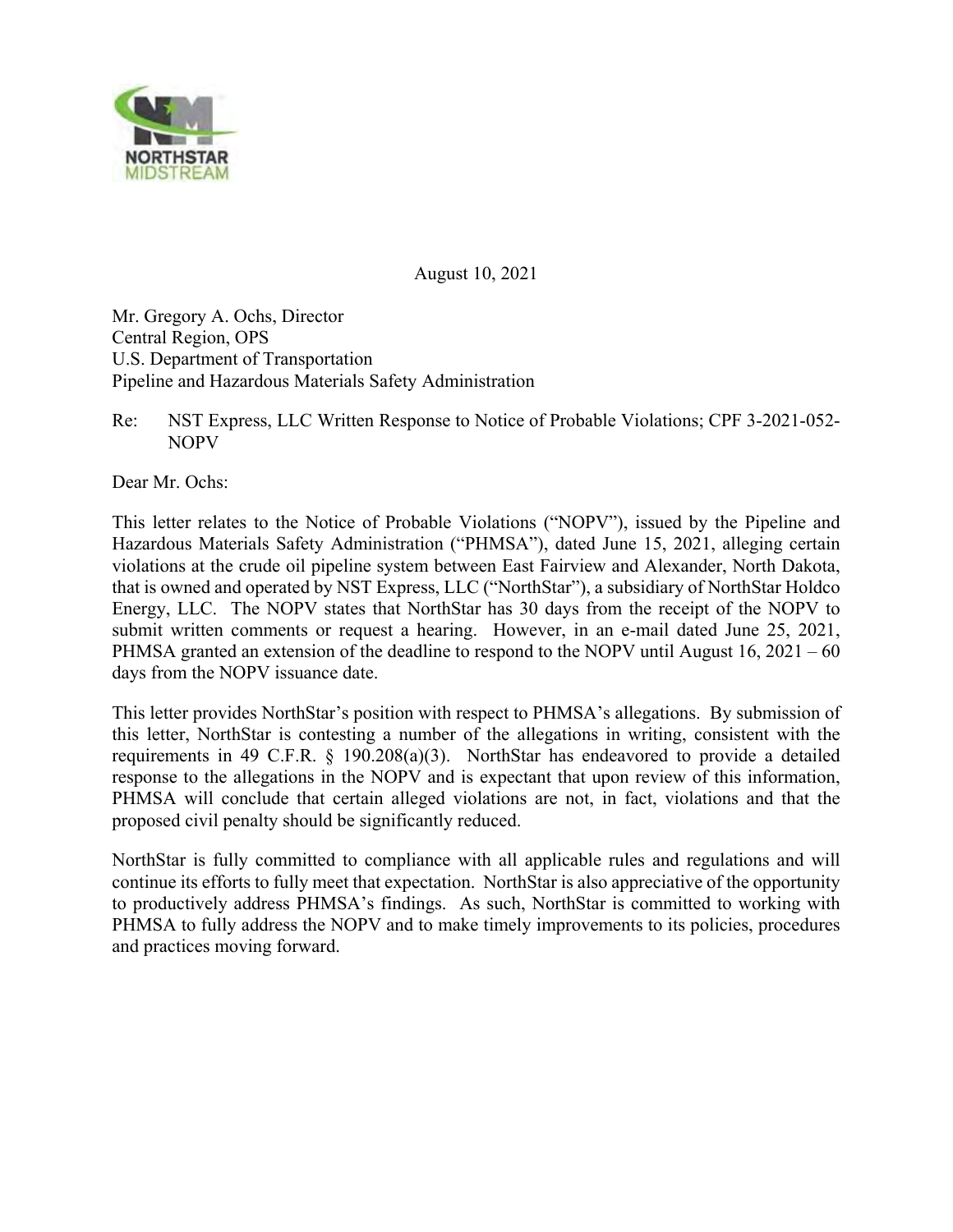

August 10, 2021

Mr. Gregory A. Ochs, Director Central Region, OPS U.S. Department of Transportation Pipeline and Hazardous Materials Safety Administration

Re: NST Express, LLC Written Response to Notice of Probable Violations; CPF 3-2021-052- NOPV

Dear Mr. Ochs:

 This letter relates to the Notice of Probable Violations ("NOPV"), issued by the Pipeline and submit written comments or request a hearing. However, in an e-mail dated June 25, 2021, Hazardous Materials Safety Administration ("PHMSA"), dated June 15, 2021, alleging certain violations at the crude oil pipeline system between East Fairview and Alexander, North Dakota, that is owned and operated by NST Express, LLC ("NorthStar"), a subsidiary of NorthStar Holdco Energy, LLC. The NOPV states that NorthStar has 30 days from the receipt of the NOPV to PHMSA granted an extension of the deadline to respond to the NOPV until August 16, 2021 – 60 days from the NOPV issuance date.

This letter provides NorthStar's position with respect to PHMSA's allegations. By submission of this letter, NorthStar is contesting a number of the allegations in writing, consistent with the requirements in 49 C.F.R. § 190.208(a)(3). NorthStar has endeavored to provide a detailed response to the allegations in the NOPV and is expectant that upon review of this information, PHMSA will conclude that certain alleged violations are not, in fact, violations and that the proposed civil penalty should be significantly reduced.

 continue its efforts to fully meet that expectation. NorthStar is also appreciative of the opportunity NorthStar is fully committed to compliance with all applicable rules and regulations and will to productively address PHMSA's findings. As such, NorthStar is committed to working with PHMSA to fully address the NOPV and to make timely improvements to its policies, procedures and practices moving forward.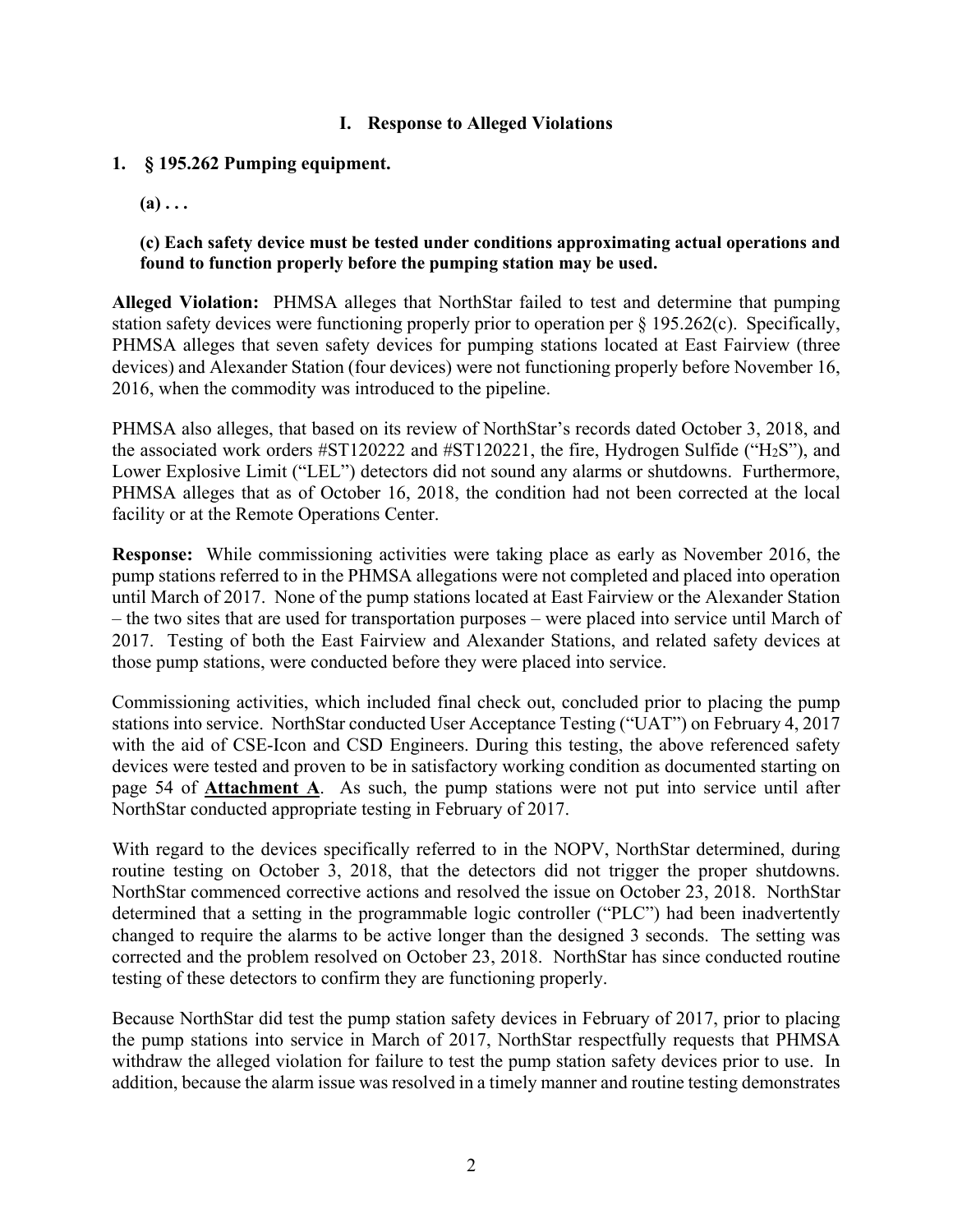#### **I. Response to Alleged Violations**

#### **1. § 195.262 Pumping equipment.**

 $(a) \ldots$ 

#### **(c) Each safety device must be tested under conditions approximating actual operations and found to function properly before the pumping station may be used.**

 **Alleged Violation:** PHMSA alleges that NorthStar failed to test and determine that pumping station safety devices were functioning properly prior to operation per § 195.262(c). Specifically, PHMSA alleges that seven safety devices for pumping stations located at East Fairview (three devices) and Alexander Station (four devices) were not functioning properly before November 16, 2016, when the commodity was introduced to the pipeline.

PHMSA also alleges, that based on its review of NorthStar's records dated October 3, 2018, and the associated work orders #ST120222 and #ST120221, the fire, Hydrogen Sulfide ("H2S"), and Lower Explosive Limit ("LEL") detectors did not sound any alarms or shutdowns. Furthermore, PHMSA alleges that as of October 16, 2018, the condition had not been corrected at the local facility or at the Remote Operations Center.

 **Response:** While commissioning activities were taking place as early as November 2016, the 2017. Testing of both the East Fairview and Alexander Stations, and related safety devices at pump stations referred to in the PHMSA allegations were not completed and placed into operation until March of 2017. None of the pump stations located at East Fairview or the Alexander Station – the two sites that are used for transportation purposes – were placed into service until March of those pump stations, were conducted before they were placed into service.

Commissioning activities, which included final check out, concluded prior to placing the pump stations into service. NorthStar conducted User Acceptance Testing ("UAT") on February 4, 2017 with the aid of CSE-Icon and CSD Engineers. During this testing, the above referenced safety devices were tested and proven to be in satisfactory working condition as documented starting on page 54 of **Attachment A**. As such, the pump stations were not put into service until after NorthStar conducted appropriate testing in February of 2017.

With regard to the devices specifically referred to in the NOPV, NorthStar determined, during routine testing on October 3, 2018, that the detectors did not trigger the proper shutdowns. NorthStar commenced corrective actions and resolved the issue on October 23, 2018. NorthStar determined that a setting in the programmable logic controller ("PLC") had been inadvertently changed to require the alarms to be active longer than the designed 3 seconds. The setting was corrected and the problem resolved on October 23, 2018. NorthStar has since conducted routine testing of these detectors to confirm they are functioning properly.

Because NorthStar did test the pump station safety devices in February of 2017, prior to placing the pump stations into service in March of 2017, NorthStar respectfully requests that PHMSA withdraw the alleged violation for failure to test the pump station safety devices prior to use. In addition, because the alarm issue was resolved in a timely manner and routine testing demonstrates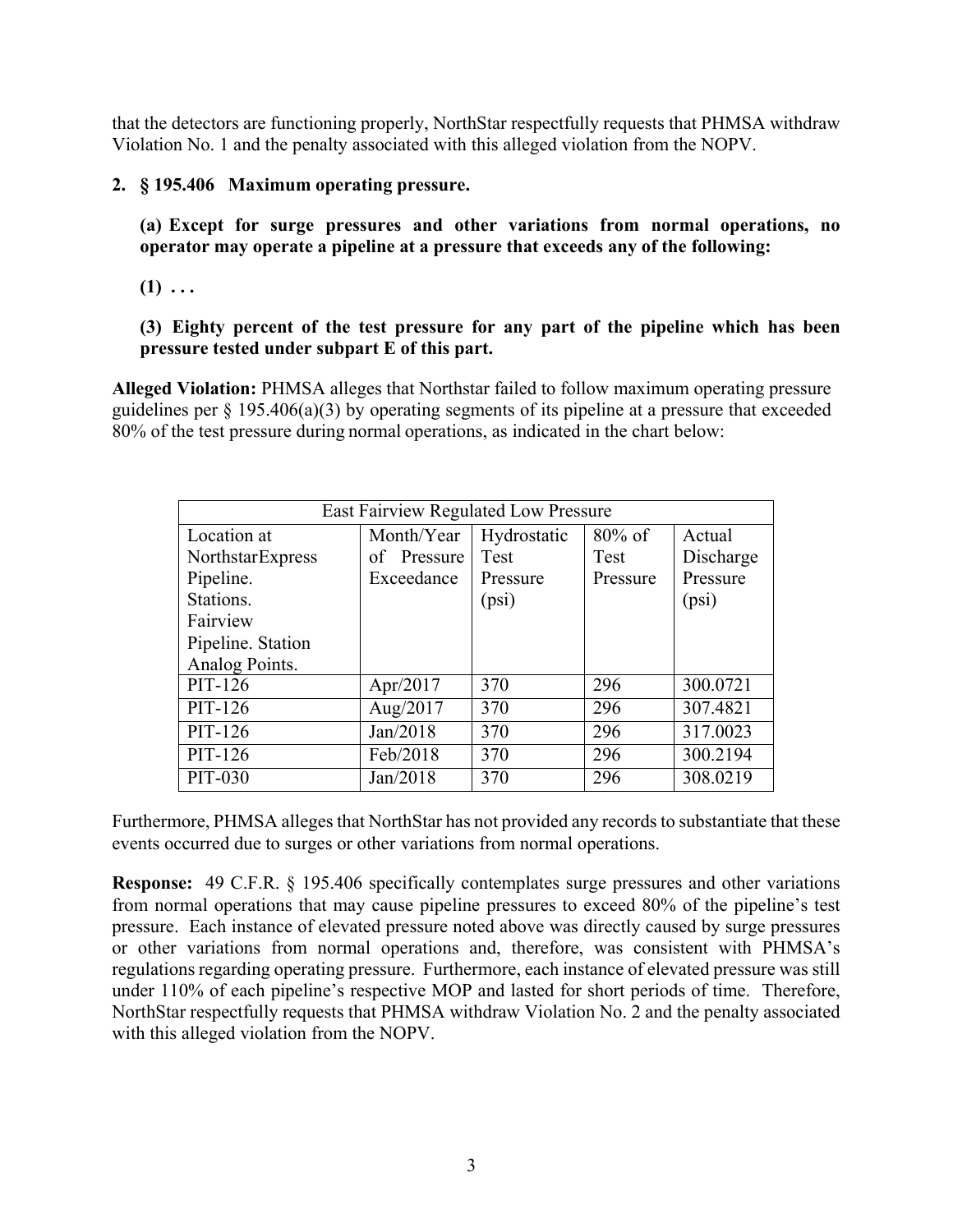that the detectors are functioning properly, NorthStar respectfully requests that PHMSA withdraw Violation No. 1 and the penalty associated with this alleged violation from the NOPV.

## **2. § 195.406 Maximum operating pressure.**

 **(a) Except for surge pressures and other variations from normal operations, no operator may operate a pipeline at a pressure that exceeds any of the following:** 

 $(1) \ldots$ 

## **(3) Eighty percent of the test pressure for any part of the pipeline which has been pressure tested under subpart E of this part.**

**Alleged Violation:** PHMSA alleges that Northstar failed to follow maximum operating pressure guidelines per § 195.406(a)(3) by operating segments of its pipeline at a pressure that exceeded 80% of the test pressure during normal operations, as indicated in the chart below:

| East Fairview Regulated Low Pressure |                                                  |          |          |           |  |  |
|--------------------------------------|--------------------------------------------------|----------|----------|-----------|--|--|
| Location at                          | Hydrostatic<br>$80\%$ of<br>Month/Year<br>Actual |          |          |           |  |  |
| NorthstarExpress                     | of Pressure                                      | Test     | Test     | Discharge |  |  |
| Pipeline.                            | Exceedance                                       | Pressure | Pressure | Pressure  |  |  |
| Stations.                            |                                                  | (psi)    |          | (psi)     |  |  |
| Fairview                             |                                                  |          |          |           |  |  |
| Pipeline. Station                    |                                                  |          |          |           |  |  |
| Analog Points.                       |                                                  |          |          |           |  |  |
| PIT-126                              | Apr/2017                                         | 370      | 296      | 300.0721  |  |  |
| PIT-126                              | Aug/2017                                         | 370      | 296      | 307.4821  |  |  |
| PIT-126                              | Jan/2018                                         | 370      | 296      | 317.0023  |  |  |
| PIT-126                              | Feb/2018                                         | 370      | 296      | 300.2194  |  |  |
| PIT-030                              | Jan/2018                                         | 370      | 296      | 308.0219  |  |  |

 events occurred due to surges or other variations from normal operations. Furthermore, PHMSA alleges that NorthStar has not provided any records to substantiate that these

 **Response:** 49 C.F.R. § 195.406 specifically contemplates surge pressures and other variations from normal operations that may cause pipeline pressures to exceed 80% of the pipeline's test pressure. Each instance of elevated pressure noted above was directly caused by surge pressures or other variations from normal operations and, therefore, was consistent with PHMSA's regulations regarding operating pressure. Furthermore, each instance of elevated pressure was still under 110% of each pipeline's respective MOP and lasted for short periods of time. Therefore, NorthStar respectfully requests that PHMSA withdraw Violation No. 2 and the penalty associated with this alleged violation from the NOPV.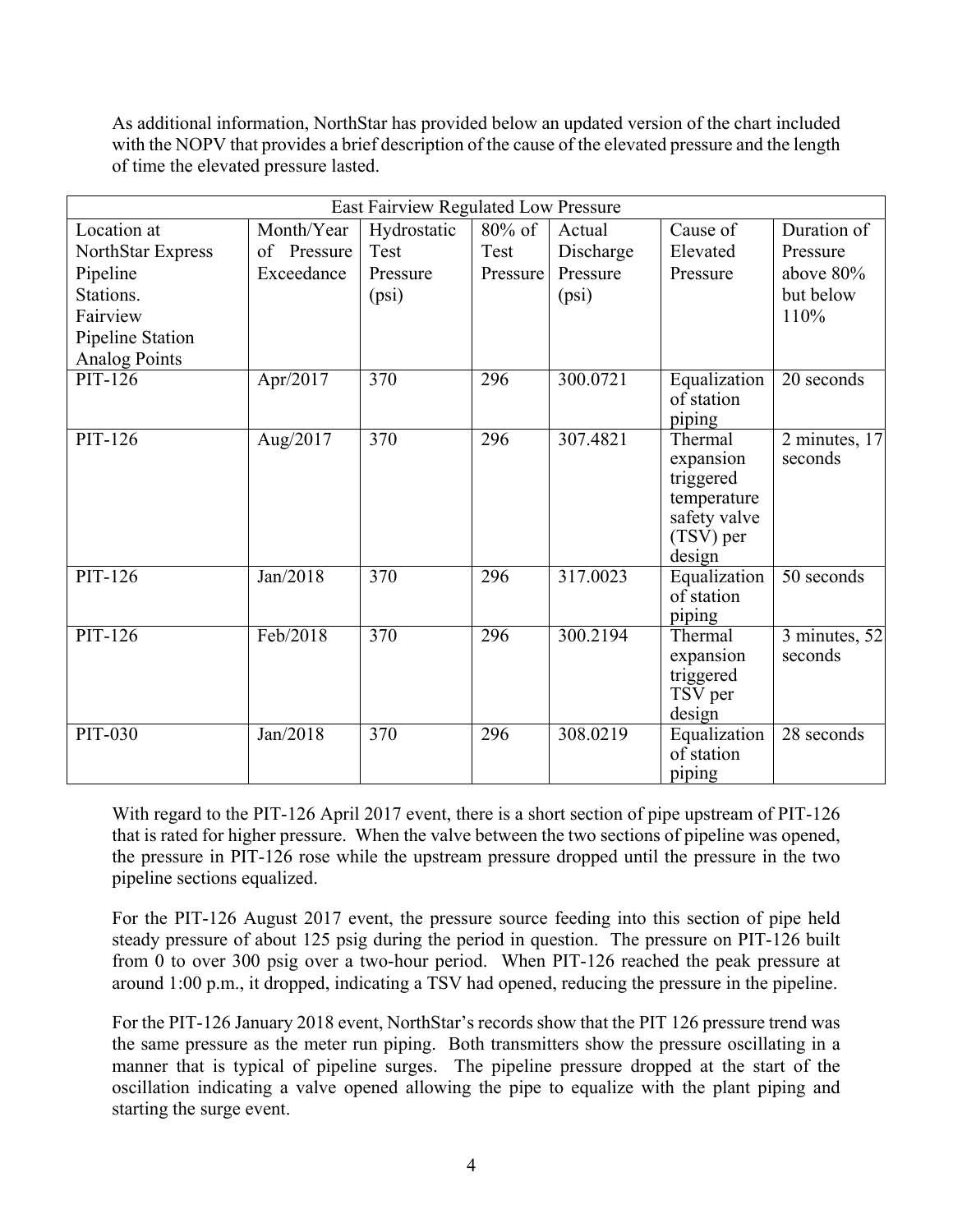As additional information, NorthStar has provided below an updated version of the chart included with the NOPV that provides a brief description of the cause of the elevated pressure and the length of time the elevated pressure lasted.

| East Fairview Regulated Low Pressure |             |                  |           |           |                        |                          |
|--------------------------------------|-------------|------------------|-----------|-----------|------------------------|--------------------------|
| Location at                          | Month/Year  | Hydrostatic      | $80\%$ of | Actual    | Cause of               | Duration of              |
| NorthStar Express                    | of Pressure | Test             | Test      | Discharge | Elevated               | Pressure                 |
| Pipeline                             | Exceedance  | Pressure         | Pressure  | Pressure  | Pressure               | above 80%                |
| Stations.                            |             | (psi)            |           | (psi)     |                        | but below                |
| Fairview                             |             |                  |           |           |                        | 110%                     |
| Pipeline Station                     |             |                  |           |           |                        |                          |
| <b>Analog Points</b>                 |             |                  |           |           |                        |                          |
| $PIT-126$                            | Apr/2017    | 370              | 296       | 300.0721  | Equalization           | 20 seconds               |
|                                      |             |                  |           |           | of station             |                          |
|                                      |             |                  |           |           | piping                 |                          |
| $PIT-126$                            | Aug/2017    | 370              | 296       | 307.4821  | Thermal                | 2 minutes, 17<br>seconds |
|                                      |             |                  |           |           | expansion<br>triggered |                          |
|                                      |             |                  |           |           | temperature            |                          |
|                                      |             |                  |           |           | safety valve           |                          |
|                                      |             |                  |           |           | (TSV) per              |                          |
|                                      |             |                  |           |           | design                 |                          |
| PIT-126                              | Jan/2018    | 370              | 296       | 317.0023  | Equalization           | 50 seconds               |
|                                      |             |                  |           |           | of station             |                          |
|                                      |             |                  |           |           | piping                 |                          |
| PIT-126                              | Feb/2018    | 370              | 296       | 300.2194  | Thermal                | 3 minutes, 52            |
|                                      |             |                  |           |           | expansion              | seconds                  |
|                                      |             |                  |           |           | triggered              |                          |
|                                      |             |                  |           |           | TSV per<br>design      |                          |
| <b>PIT-030</b>                       | Jan/2018    | $\overline{370}$ | 296       | 308.0219  | Equalization           | 28 seconds               |
|                                      |             |                  |           |           | of station             |                          |
|                                      |             |                  |           |           | piping                 |                          |

With regard to the PIT-126 April 2017 event, there is a short section of pipe upstream of PIT-126 that is rated for higher pressure. When the valve between the two sections of pipeline was opened, the pressure in PIT-126 rose while the upstream pressure dropped until the pressure in the two pipeline sections equalized.

 from 0 to over 300 psig over a two-hour period. When PIT-126 reached the peak pressure at For the PIT-126 August 2017 event, the pressure source feeding into this section of pipe held steady pressure of about 125 psig during the period in question. The pressure on PIT-126 built around 1:00 p.m., it dropped, indicating a TSV had opened, reducing the pressure in the pipeline.

For the PIT-126 January 2018 event, NorthStar's records show that the PIT 126 pressure trend was the same pressure as the meter run piping. Both transmitters show the pressure oscillating in a manner that is typical of pipeline surges. The pipeline pressure dropped at the start of the oscillation indicating a valve opened allowing the pipe to equalize with the plant piping and starting the surge event.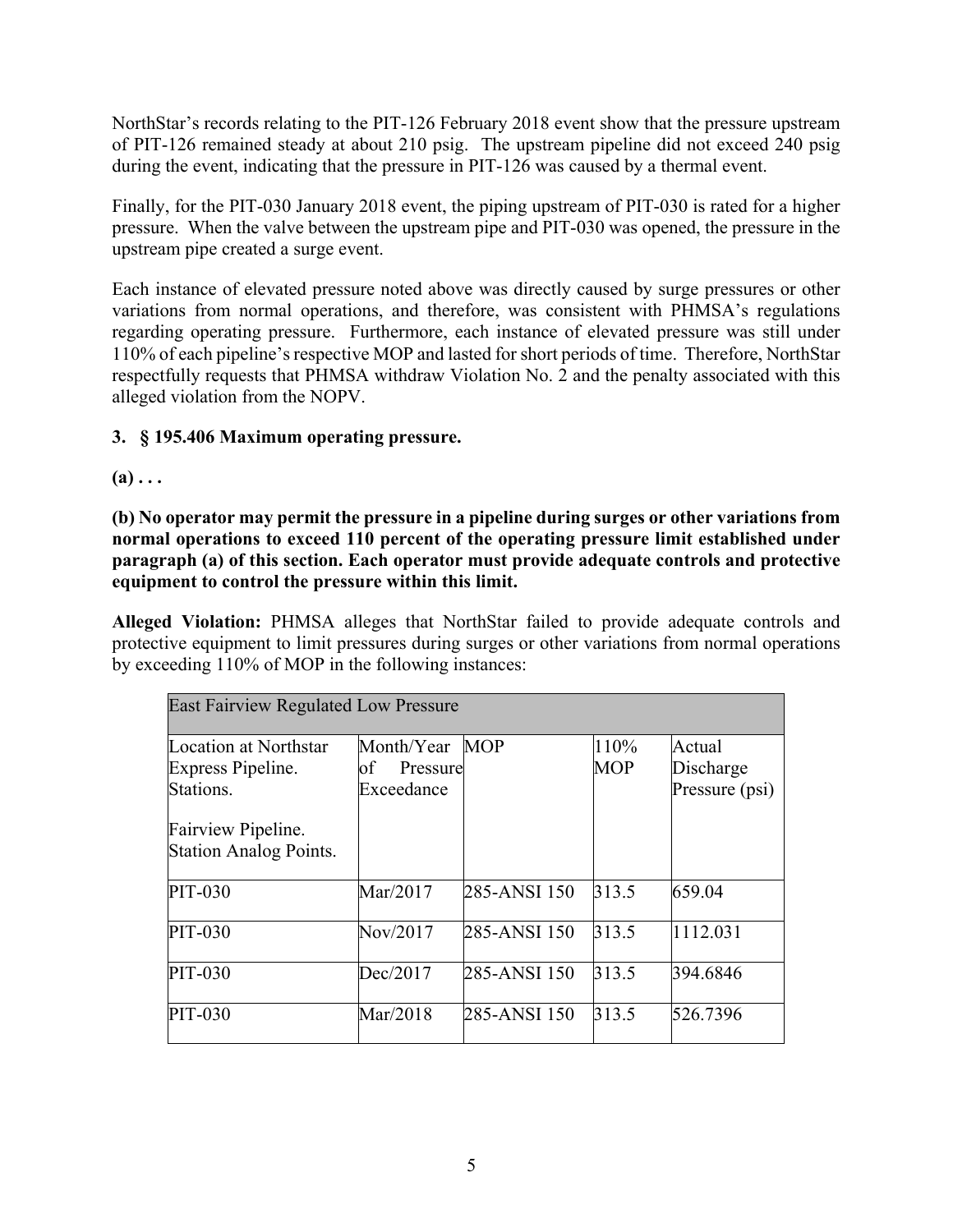NorthStar's records relating to the PIT-126 February 2018 event show that the pressure upstream of PIT-126 remained steady at about 210 psig. The upstream pipeline did not exceed 240 psig during the event, indicating that the pressure in PIT-126 was caused by a thermal event.

Finally, for the PIT-030 January 2018 event, the piping upstream of PIT-030 is rated for a higher pressure. When the valve between the upstream pipe and PIT-030 was opened, the pressure in the upstream pipe created a surge event.

Each instance of elevated pressure noted above was directly caused by surge pressures or other variations from normal operations, and therefore, was consistent with PHMSA's regulations regarding operating pressure. Furthermore, each instance of elevated pressure was still under 110% of each pipeline's respective MOP and lasted for short periods of time. Therefore, NorthStar respectfully requests that PHMSA withdraw Violation No. 2 and the penalty associated with this alleged violation from the NOPV.

# **3. § 195.406 Maximum operating pressure.**

 $(a) \ldots$ 

 **normal operations to exceed 110 percent of the operating pressure limit established under (b) No operator may permit the pressure in a pipeline during surges or other variations from paragraph (a) of this section. Each operator must provide adequate controls and protective equipment to control the pressure within this limit.**

**Alleged Violation:** PHMSA alleges that NorthStar failed to provide adequate controls and protective equipment to limit pressures during surges or other variations from normal operations by exceeding 110% of MOP in the following instances:

| <b>East Fairview Regulated Low Pressure</b> |                |              |            |                |  |  |
|---------------------------------------------|----------------|--------------|------------|----------------|--|--|
| Location at Northstar                       | Month/Year     | <b>MOP</b>   | 110%       | Actual         |  |  |
| Express Pipeline.                           | Pressure<br>of |              | <b>MOP</b> | Discharge      |  |  |
| Stations.                                   | Exceedance     |              |            | Pressure (psi) |  |  |
| Fairview Pipeline.                          |                |              |            |                |  |  |
| <b>Station Analog Points.</b>               |                |              |            |                |  |  |
| PIT-030                                     | Mar/2017       | 285-ANSI 150 | 313.5      | 659.04         |  |  |
| PIT-030                                     | Nov/2017       | 285-ANSI 150 | 313.5      | 1112.031       |  |  |
| PIT-030                                     | Dec/2017       | 285-ANSI 150 | 313.5      | 394.6846       |  |  |
| PIT-030                                     | Mar/2018       | 285-ANSI 150 | 313.5      | 526.7396       |  |  |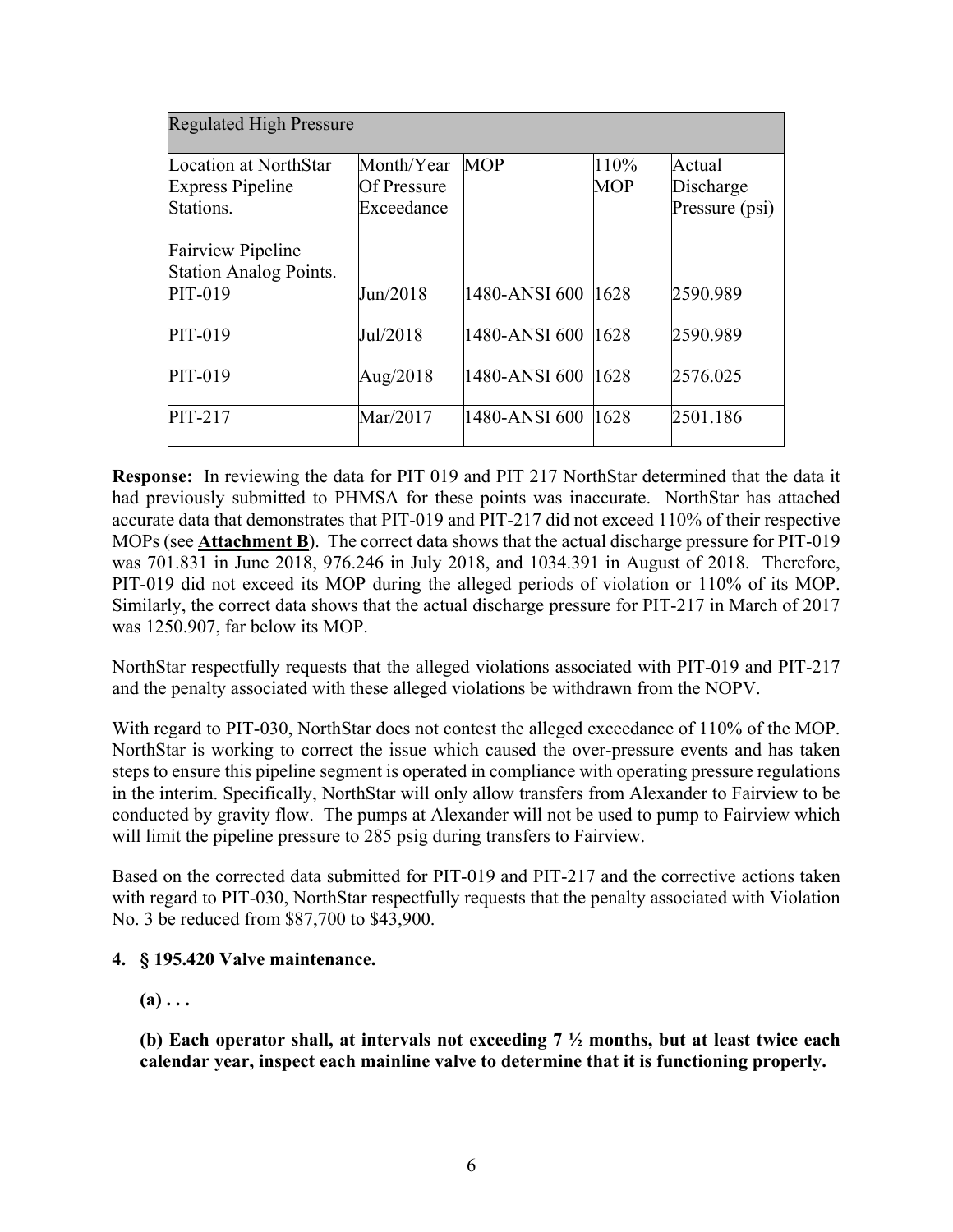| <b>Regulated High Pressure</b> |                    |               |            |                |  |
|--------------------------------|--------------------|---------------|------------|----------------|--|
| Location at NorthStar          | Month/Year         | <b>MOP</b>    | 110%       | Actual         |  |
| <b>Express Pipeline</b>        | <b>Of Pressure</b> |               | <b>MOP</b> | Discharge      |  |
| Stations.                      | Exceedance         |               |            | Pressure (psi) |  |
| <b>Fairview Pipeline</b>       |                    |               |            |                |  |
| <b>Station Analog Points.</b>  |                    |               |            |                |  |
| PIT-019                        | Jun/2018           | 1480-ANSI 600 | 1628       | 2590.989       |  |
| PIT-019                        | Jul/2018           | 1480-ANSI 600 | 1628       | 2590.989       |  |
| PIT-019                        | Aug/2018           | 1480-ANSI 600 | 1628       | 2576.025       |  |
| PIT-217                        | Mar/2017           | 1480-ANSI 600 | 1628       | 2501.186       |  |

 **Response:** In reviewing the data for PIT 019 and PIT 217 NorthStar determined that the data it had previously submitted to PHMSA for these points was inaccurate. NorthStar has attached PIT-019 did not exceed its MOP during the alleged periods of violation or 110% of its MOP. accurate data that demonstrates that PIT-019 and PIT-217 did not exceed 110% of their respective MOPs (see **Attachment B**). The correct data shows that the actual discharge pressure for PIT-019 was 701.831 in June 2018, 976.246 in July 2018, and 1034.391 in August of 2018. Therefore, Similarly, the correct data shows that the actual discharge pressure for PIT-217 in March of 2017 was 1250.907, far below its MOP.

NorthStar respectfully requests that the alleged violations associated with PIT-019 and PIT-217 and the penalty associated with these alleged violations be withdrawn from the NOPV.

With regard to PIT-030, NorthStar does not contest the alleged exceedance of 110% of the MOP. NorthStar is working to correct the issue which caused the over-pressure events and has taken steps to ensure this pipeline segment is operated in compliance with operating pressure regulations in the interim. Specifically, NorthStar will only allow transfers from Alexander to Fairview to be conducted by gravity flow. The pumps at Alexander will not be used to pump to Fairview which will limit the pipeline pressure to 285 psig during transfers to Fairview.

Based on the corrected data submitted for PIT-019 and PIT-217 and the corrective actions taken with regard to PIT-030, NorthStar respectfully requests that the penalty associated with Violation No. 3 be reduced from \$87,700 to \$43,900.

# **4. § 195.420 Valve maintenance.**

# $(a) \ldots$

**(b) Each operator shall, at intervals not exceeding 7 ½ months, but at least twice each calendar year, inspect each mainline valve to determine that it is functioning properly.**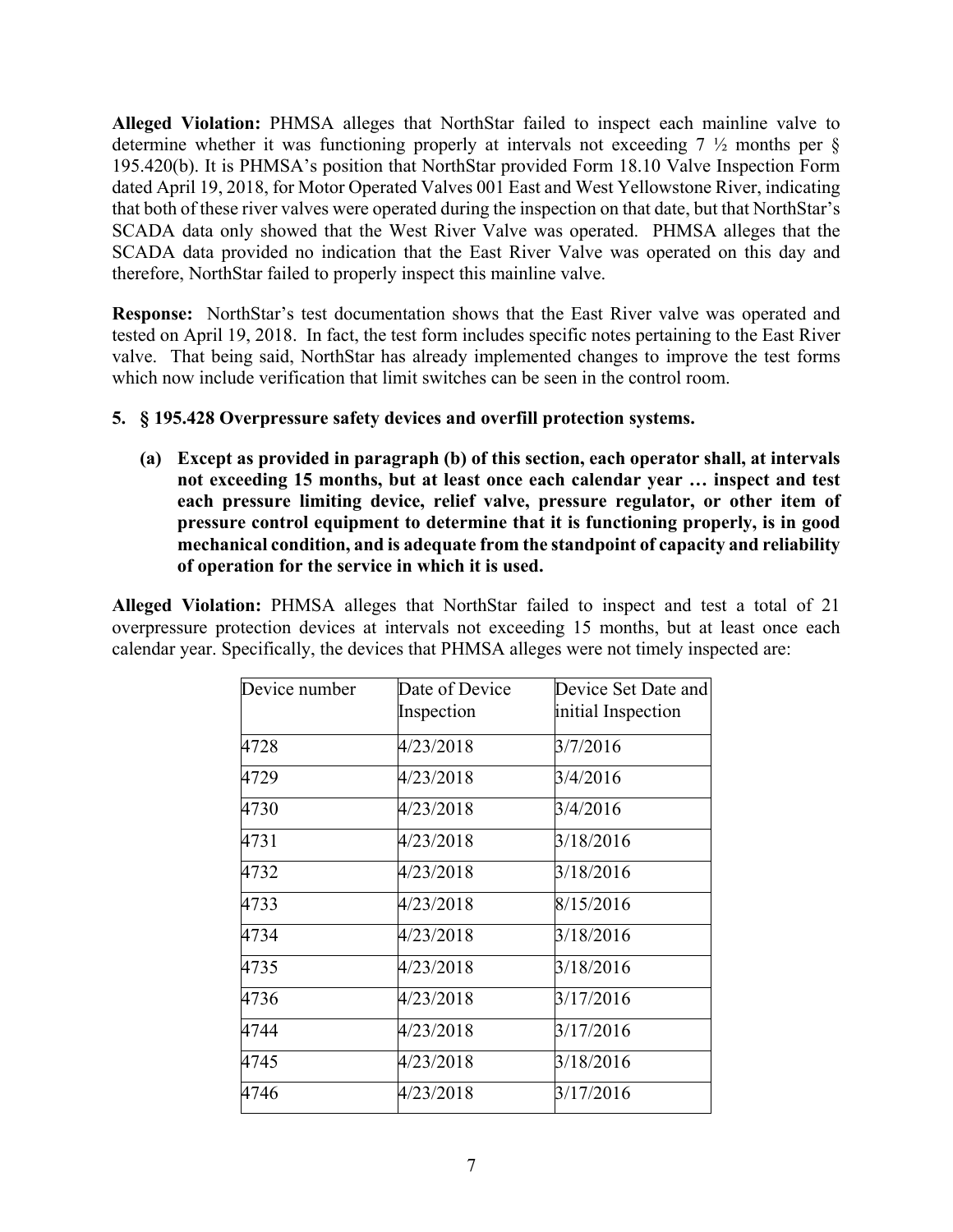**Alleged Violation:** PHMSA alleges that NorthStar failed to inspect each mainline valve to determine whether it was functioning properly at intervals not exceeding 7 ½ months per § 195.420(b). It is PHMSA's position that NorthStar provided Form 18.10 Valve Inspection Form dated April 19, 2018, for Motor Operated Valves 001 East and West Yellowstone River, indicating that both of these river valves were operated during the inspection on that date, but that NorthStar's SCADA data only showed that the West River Valve was operated. PHMSA alleges that the SCADA data provided no indication that the East River Valve was operated on this day and therefore, NorthStar failed to properly inspect this mainline valve.

 **Response:** NorthStar's test documentation shows that the East River valve was operated and tested on April 19, 2018. In fact, the test form includes specific notes pertaining to the East River valve. That being said, NorthStar has already implemented changes to improve the test forms which now include verification that limit switches can be seen in the control room.

# **5. § 195.428 Overpressure safety devices and overfill protection systems.**

 **each pressure limiting device, relief valve, pressure regulator, or other item of (a) Except as provided in paragraph (b) of this section, each operator shall, at intervals not exceeding 15 months, but at least once each calendar year … inspect and test pressure control equipment to determine that it is functioning properly, is in good mechanical condition, and is adequate from the standpoint of capacity and reliability of operation for the service in which it is used.** 

**Alleged Violation:** PHMSA alleges that NorthStar failed to inspect and test a total of 21 overpressure protection devices at intervals not exceeding 15 months, but at least once each calendar year. Specifically, the devices that PHMSA alleges were not timely inspected are:

| Device number | Date of Device | Device Set Date and |
|---------------|----------------|---------------------|
|               | Inspection     | initial Inspection  |
| 4728          | 4/23/2018      | 3/7/2016            |
| 4729          | 4/23/2018      | 3/4/2016            |
| 4730          | 4/23/2018      | 3/4/2016            |
| 4731          | 4/23/2018      | 3/18/2016           |
| 4732          | 4/23/2018      | 3/18/2016           |
| 4733          | 4/23/2018      | 8/15/2016           |
| 4734          | 4/23/2018      | 3/18/2016           |
| 4735          | 4/23/2018      | 3/18/2016           |
| 4736          | 4/23/2018      | 3/17/2016           |
| 4744          | 4/23/2018      | 3/17/2016           |
| 4745          | 4/23/2018      | 3/18/2016           |
| 4746          | 4/23/2018      | 3/17/2016           |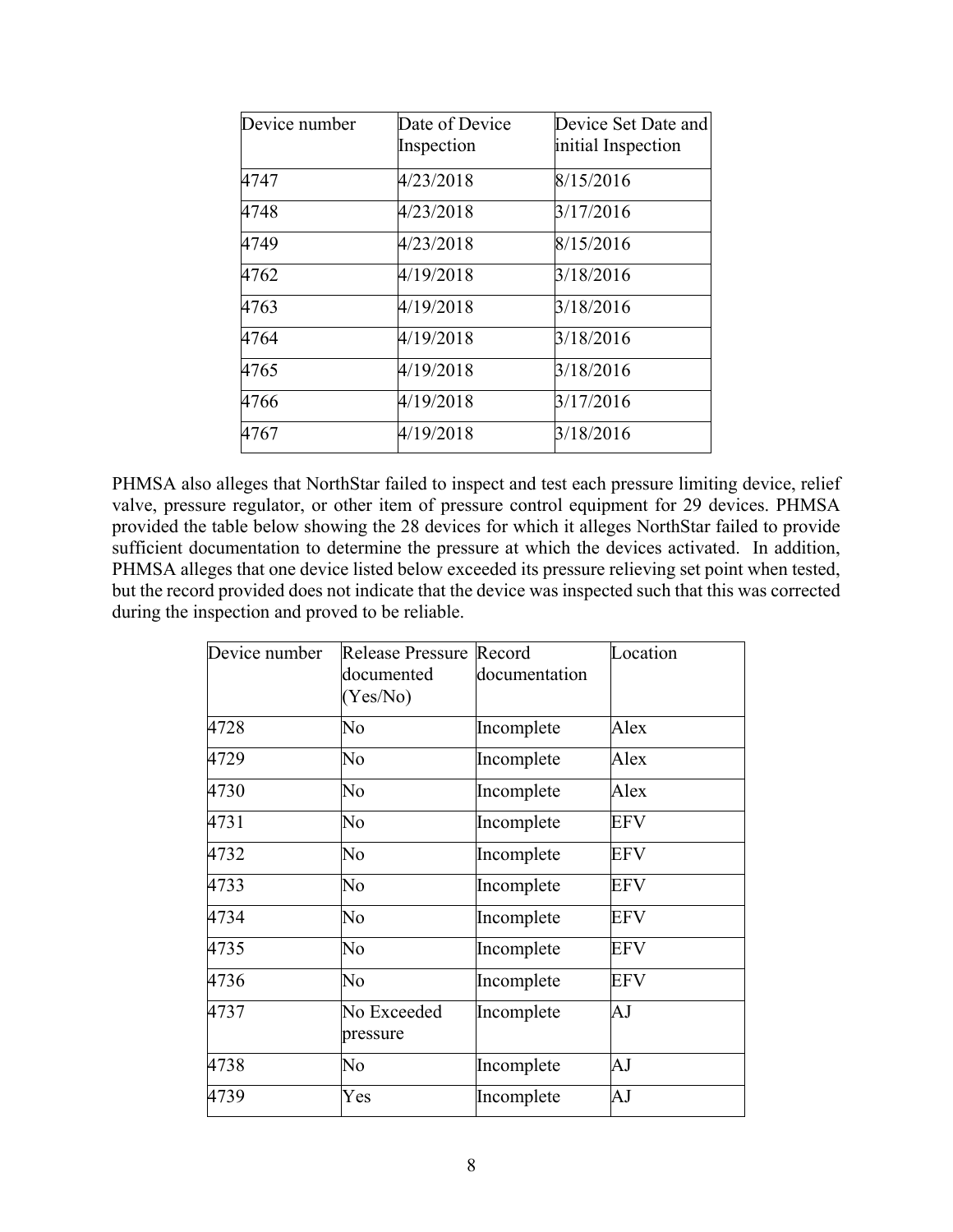| Device number | Date of Device | Device Set Date and |
|---------------|----------------|---------------------|
|               | Inspection     | initial Inspection  |
| 4747          | 4/23/2018      | 8/15/2016           |
| 4748          | 4/23/2018      | 3/17/2016           |
| 4749          | 4/23/2018      | 8/15/2016           |
| 4762          | 4/19/2018      | 3/18/2016           |
| 4763          | 4/19/2018      | 3/18/2016           |
| 4764          | 4/19/2018      | 3/18/2016           |
| 4765          | 4/19/2018      | 3/18/2016           |
| 4766          | 4/19/2018      | 3/17/2016           |
| 4767          | 4/19/2018      | 3/18/2016           |

 PHMSA also alleges that NorthStar failed to inspect and test each pressure limiting device, relief but the record provided does not indicate that the device was inspected such that this was corrected valve, pressure regulator, or other item of pressure control equipment for 29 devices. PHMSA provided the table below showing the 28 devices for which it alleges NorthStar failed to provide sufficient documentation to determine the pressure at which the devices activated. In addition, PHMSA alleges that one device listed below exceeded its pressure relieving set point when tested, during the inspection and proved to be reliable.

| Device number | Release Pressure Record<br>documented<br>(Yes/No) | documentation | Location   |
|---------------|---------------------------------------------------|---------------|------------|
| 4728          | No                                                | Incomplete    | Alex       |
| 4729          | No                                                | Incomplete    | Alex       |
| 4730          | No                                                | Incomplete    | Alex       |
| 4731          | No                                                | Incomplete    | <b>EFV</b> |
| 4732          | No                                                | Incomplete    | <b>EFV</b> |
| 4733          | No                                                | Incomplete    | <b>EFV</b> |
| 4734          | No                                                | Incomplete    | <b>EFV</b> |
| 4735          | No                                                | Incomplete    | EFV        |
| 4736          | No                                                | Incomplete    | <b>EFV</b> |
| 4737          | No Exceeded<br>pressure                           | Incomplete    | AJ         |
| 4738          | No                                                | Incomplete    | AJ         |
| 4739          | Yes                                               | Incomplete    | AJ         |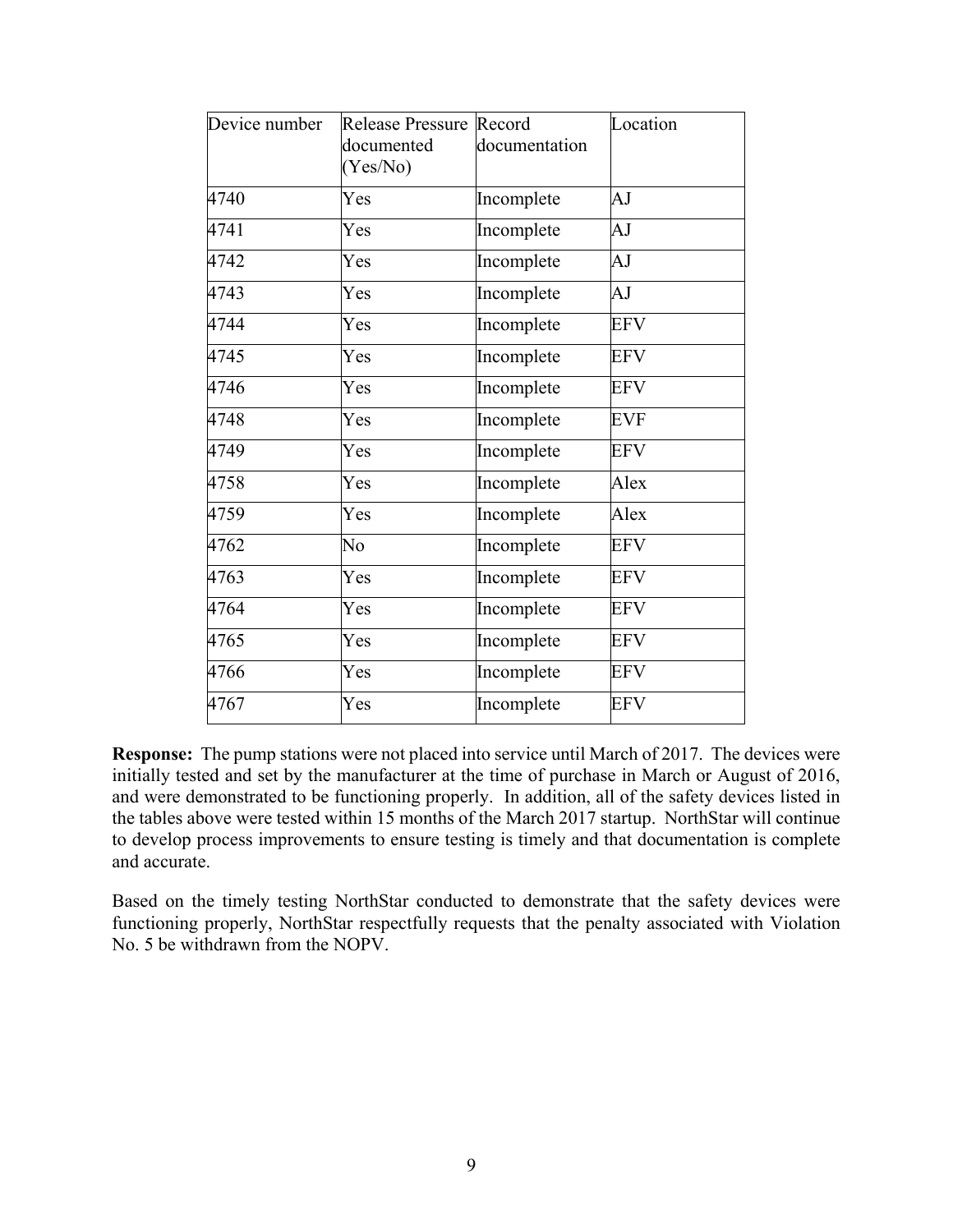| documented<br>(Yes/No) | documentation | Location                |
|------------------------|---------------|-------------------------|
| Yes                    | Incomplete    | AJ                      |
| Yes                    | Incomplete    | AJ                      |
| Yes                    | Incomplete    | AJ                      |
| Yes                    | Incomplete    | AJ                      |
| Yes                    | Incomplete    | <b>EFV</b>              |
| Yes                    | Incomplete    | <b>EFV</b>              |
| Yes                    | Incomplete    | <b>EFV</b>              |
| Yes                    | Incomplete    | <b>EVF</b>              |
| Yes                    | Incomplete    | <b>EFV</b>              |
| Yes                    | Incomplete    | Alex                    |
| Yes                    | Incomplete    | Alex                    |
| No                     | Incomplete    | <b>EFV</b>              |
| Yes                    | Incomplete    | <b>EFV</b>              |
| Yes                    | Incomplete    | <b>EFV</b>              |
| Yes                    | Incomplete    | <b>EFV</b>              |
| Yes                    | Incomplete    | <b>EFV</b>              |
| Yes                    | Incomplete    | <b>EFV</b>              |
|                        |               | Release Pressure Record |

 **Response:** The pump stations were not placed into service until March of 2017. The devices were the tables above were tested within 15 months of the March 2017 startup. NorthStar will continue initially tested and set by the manufacturer at the time of purchase in March or August of 2016, and were demonstrated to be functioning properly. In addition, all of the safety devices listed in to develop process improvements to ensure testing is timely and that documentation is complete and accurate.

Based on the timely testing NorthStar conducted to demonstrate that the safety devices were functioning properly, NorthStar respectfully requests that the penalty associated with Violation No. 5 be withdrawn from the NOPV.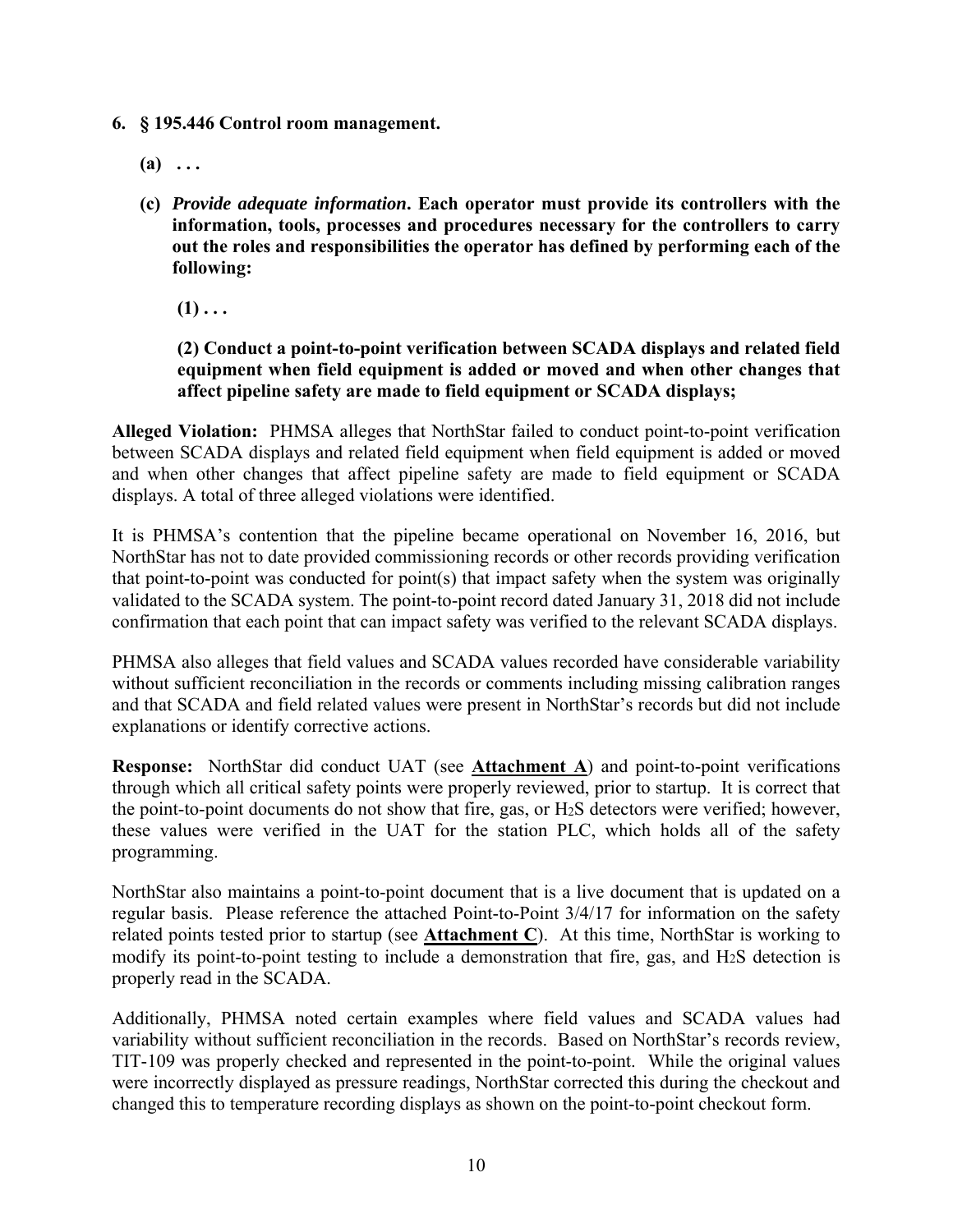- **6. § 195.446 Control room management.** 
	- $(a) \ldots$
	- **information, tools, processes and procedures necessary for the controllers to carry (c)** *Provide adequate information***. Each operator must provide its controllers with the out the roles and responsibilities the operator has defined by performing each of the following:** 
		- $(1)$ ...

# **(2) Conduct a point-to-point verification between SCADA displays and related field equipment when field equipment is added or moved and when other changes that affect pipeline safety are made to field equipment or SCADA displays;**

 **Alleged Violation:** PHMSA alleges that NorthStar failed to conduct point-to-point verification between SCADA displays and related field equipment when field equipment is added or moved and when other changes that affect pipeline safety are made to field equipment or SCADA displays. A total of three alleged violations were identified.

It is PHMSA's contention that the pipeline became operational on November 16, 2016, but NorthStar has not to date provided commissioning records or other records providing verification that point-to-point was conducted for point(s) that impact safety when the system was originally validated to the SCADA system. The point-to-point record dated January 31, 2018 did not include confirmation that each point that can impact safety was verified to the relevant SCADA displays.

PHMSA also alleges that field values and SCADA values recorded have considerable variability without sufficient reconciliation in the records or comments including missing calibration ranges and that SCADA and field related values were present in NorthStar's records but did not include explanations or identify corrective actions.

 **Response:** NorthStar did conduct UAT (see **Attachment A**) and point-to-point verifications through which all critical safety points were properly reviewed, prior to startup. It is correct that the point-to-point documents do not show that fire, gas, or H2S detectors were verified; however, these values were verified in the UAT for the station PLC, which holds all of the safety programming.

 modify its point-to-point testing to include a demonstration that fire, gas, and H2S detection is NorthStar also maintains a point-to-point document that is a live document that is updated on a regular basis. Please reference the attached Point-to-Point 3/4/17 for information on the safety related points tested prior to startup (see **Attachment C**). At this time, NorthStar is working to properly read in the SCADA.

Additionally, PHMSA noted certain examples where field values and SCADA values had variability without sufficient reconciliation in the records. Based on NorthStar's records review, TIT-109 was properly checked and represented in the point-to-point. While the original values were incorrectly displayed as pressure readings, NorthStar corrected this during the checkout and changed this to temperature recording displays as shown on the point-to-point checkout form.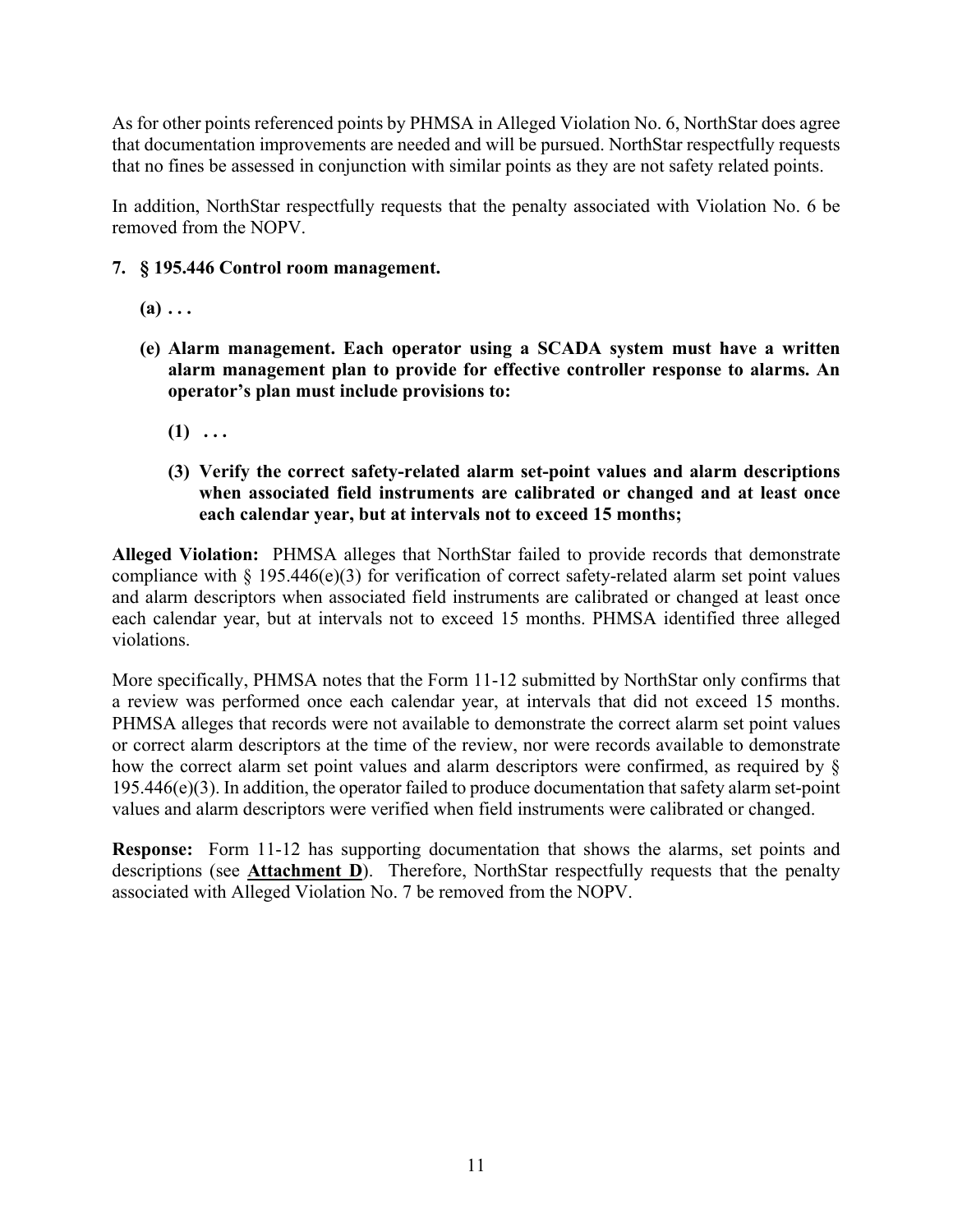As for other points referenced points by PHMSA in Alleged Violation No. 6, NorthStar does agree that documentation improvements are needed and will be pursued. NorthStar respectfully requests that no fines be assessed in conjunction with similar points as they are not safety related points.

 In addition, NorthStar respectfully requests that the penalty associated with Violation No. 6 be removed from the NOPV.

## **7. § 195.446 Control room management.**

- $(a) \ldots$
- **(e) Alarm management. Each operator using a SCADA system must have a written alarm management plan to provide for effective controller response to alarms. An operator's plan must include provisions to:** 
	- $(1) \ldots$
	- **(3) Verify the correct safety-related alarm set-point values and alarm descriptions when associated field instruments are calibrated or changed and at least once each calendar year, but at intervals not to exceed 15 months;**

 **Alleged Violation:** PHMSA alleges that NorthStar failed to provide records that demonstrate and alarm descriptors when associated field instruments are calibrated or changed at least once compliance with  $\S$  195.446(e)(3) for verification of correct safety-related alarm set point values each calendar year, but at intervals not to exceed 15 months. PHMSA identified three alleged violations.

More specifically, PHMSA notes that the Form 11-12 submitted by NorthStar only confirms that a review was performed once each calendar year, at intervals that did not exceed 15 months. PHMSA alleges that records were not available to demonstrate the correct alarm set point values or correct alarm descriptors at the time of the review, nor were records available to demonstrate how the correct alarm set point values and alarm descriptors were confirmed, as required by §  $195.446(e)(3)$ . In addition, the operator failed to produce documentation that safety alarm set-point values and alarm descriptors were verified when field instruments were calibrated or changed.

 **Response:** Form 11-12 has supporting documentation that shows the alarms, set points and descriptions (see **Attachment D**). Therefore, NorthStar respectfully requests that the penalty associated with Alleged Violation No. 7 be removed from the NOPV.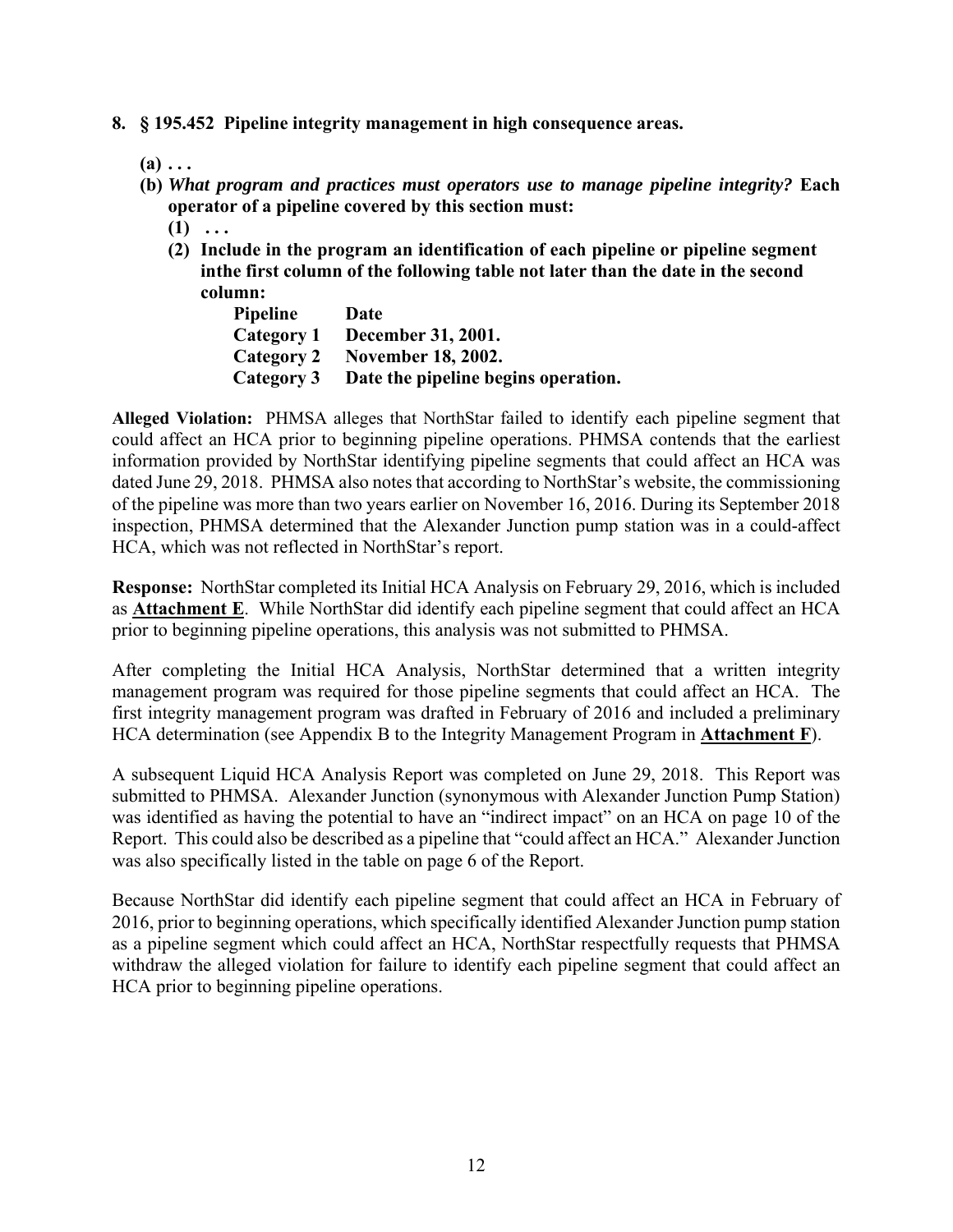- **8. § 195.452 Pipeline integrity management in high consequence areas.** 
	- $(a) \ldots$
	- **(b)** *What program and practices must operators use to manage pipeline integrity?* **Each operator of a pipeline covered by this section must:** 
		- $(1) \ldots$
		- **(2) Include in the program an identification of each pipeline or pipeline segment in the first column of the following table not later than the date in the second column:**

**Pipeline Date Category 1 December 31, 2001. Category 2 November 18, 2002. Category 3 Date the pipeline begins operation.** 

**Alleged Violation:** PHMSA alleges that NorthStar failed to identify each pipeline segment that could affect an HCA prior to beginning pipeline operations. PHMSA contends that the earliest information provided by NorthStar identifying pipeline segments that could affect an HCA was dated June 29, 2018. PHMSA also notes that according to NorthStar's website, the commissioning of the pipeline was more than two years earlier on November 16, 2016. During its September 2018 inspection, PHMSA determined that the Alexander Junction pump station was in a could-affect HCA, which was not reflected in NorthStar's report.

 **Response:** NorthStar completed its Initial HCA Analysis on February 29, 2016, which is included as **Attachment E**. While NorthStar did identify each pipeline segment that could affect an HCA prior to beginning pipeline operations, this analysis was not submitted to PHMSA.

 management program was required for those pipeline segments that could affect an HCA. The After completing the Initial HCA Analysis, NorthStar determined that a written integrity first integrity management program was drafted in February of 2016 and included a preliminary HCA determination (see Appendix B to the Integrity Management Program in **Attachment F**).

A subsequent Liquid HCA Analysis Report was completed on June 29, 2018. This Report was submitted to PHMSA. Alexander Junction (synonymous with Alexander Junction Pump Station) was identified as having the potential to have an "indirect impact" on an HCA on page 10 of the Report. This could also be described as a pipeline that "could affect an HCA." Alexander Junction was also specifically listed in the table on page 6 of the Report.

Because NorthStar did identify each pipeline segment that could affect an HCA in February of 2016, prior to beginning operations, which specifically identified Alexander Junction pump station as a pipeline segment which could affect an HCA, NorthStar respectfully requests that PHMSA withdraw the alleged violation for failure to identify each pipeline segment that could affect an HCA prior to beginning pipeline operations.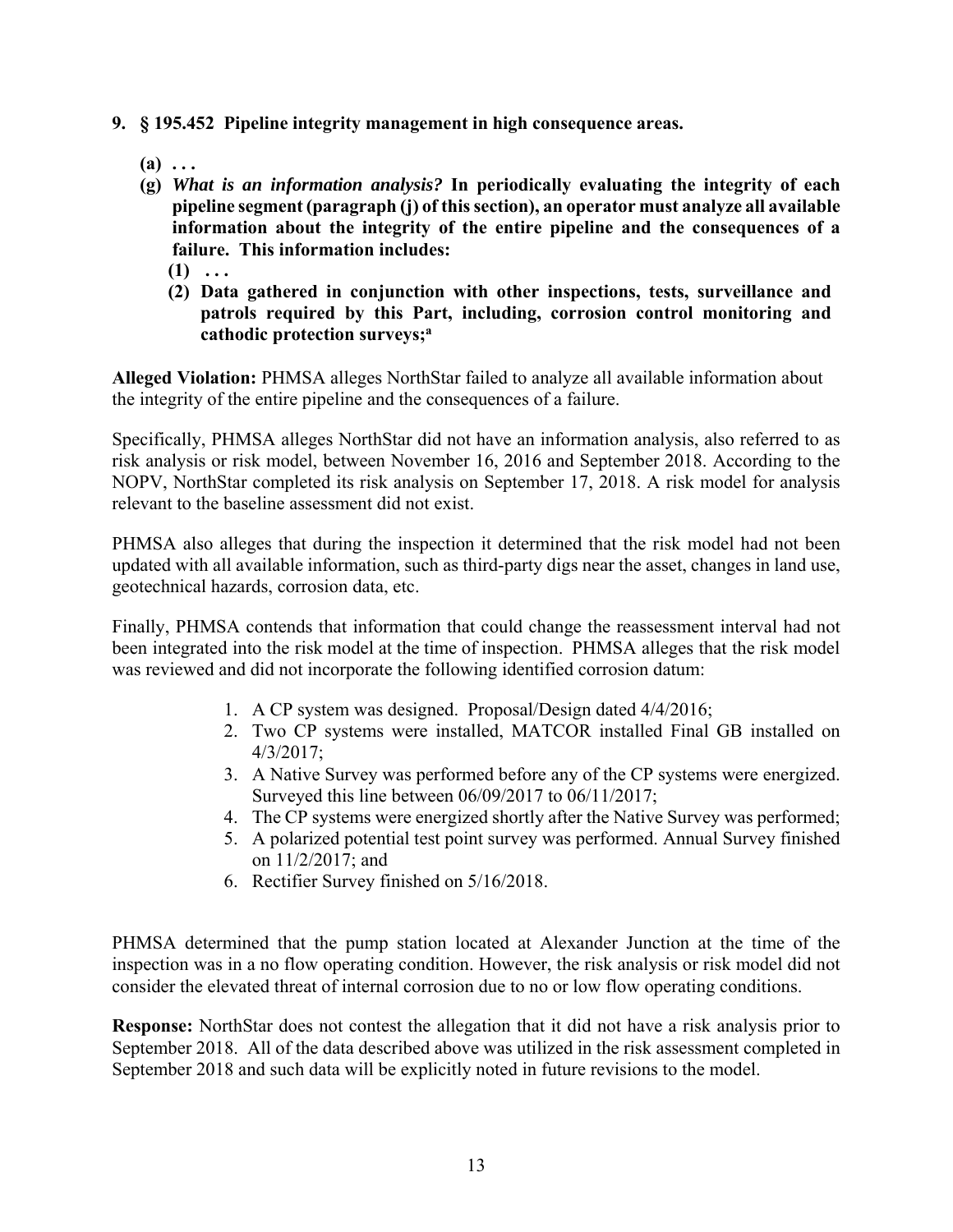- **9. § 195.452 Pipeline integrity management in high consequence areas.** 
	- $(a)$   $\dots$
	- **(g)** *What is an information analysis?* **In periodically evaluating the integrity of each information about the integrity of the entire pipeline and the consequences of a pipeline segment (paragraph (j) of this section), an operator must analyze all available failure. This information includes:** 
		- $(1) \ldots$
		- **(2) Data gathered in conjunction with other inspections, tests, surveillance and patrols required by this Part, including, corrosion control monitoring and cathodic protection surveys;a**

**Alleged Violation:** PHMSA alleges NorthStar failed to analyze all available information about the integrity of the entire pipeline and the consequences of a failure.

Specifically, PHMSA alleges NorthStar did not have an information analysis, also referred to as risk analysis or risk model, between November 16, 2016 and September 2018. According to the NOPV, NorthStar completed its risk analysis on September 17, 2018. A risk model for analysis relevant to the baseline assessment did not exist.

PHMSA also alleges that during the inspection it determined that the risk model had not been updated with all available information, such as third-party digs near the asset, changes in land use, geotechnical hazards, corrosion data, etc.

Finally, PHMSA contends that information that could change the reassessment interval had not been integrated into the risk model at the time of inspection. PHMSA alleges that the risk model was reviewed and did not incorporate the following identified corrosion datum:

- 1. A CP system was designed. Proposal/Design dated 4/4/2016;
- 2. Two CP systems were installed, MATCOR installed Final GB installed on 4/3/2017;
- 3. A Native Survey was performed before any of the CP systems were energized. Surveyed this line between 06/09/2017 to 06/11/2017;
- 4. The CP systems were energized shortly after the Native Survey was performed;
- 5. A polarized potential test point survey was performed. Annual Survey finished on 11/2/2017; and
- 6. Rectifier Survey finished on 5/16/2018.

PHMSA determined that the pump station located at Alexander Junction at the time of the inspection was in a no flow operating condition. However, the risk analysis or risk model did not consider the elevated threat of internal corrosion due to no or low flow operating conditions.

**Response:** NorthStar does not contest the allegation that it did not have a risk analysis prior to September 2018. All of the data described above was utilized in the risk assessment completed in September 2018 and such data will be explicitly noted in future revisions to the model.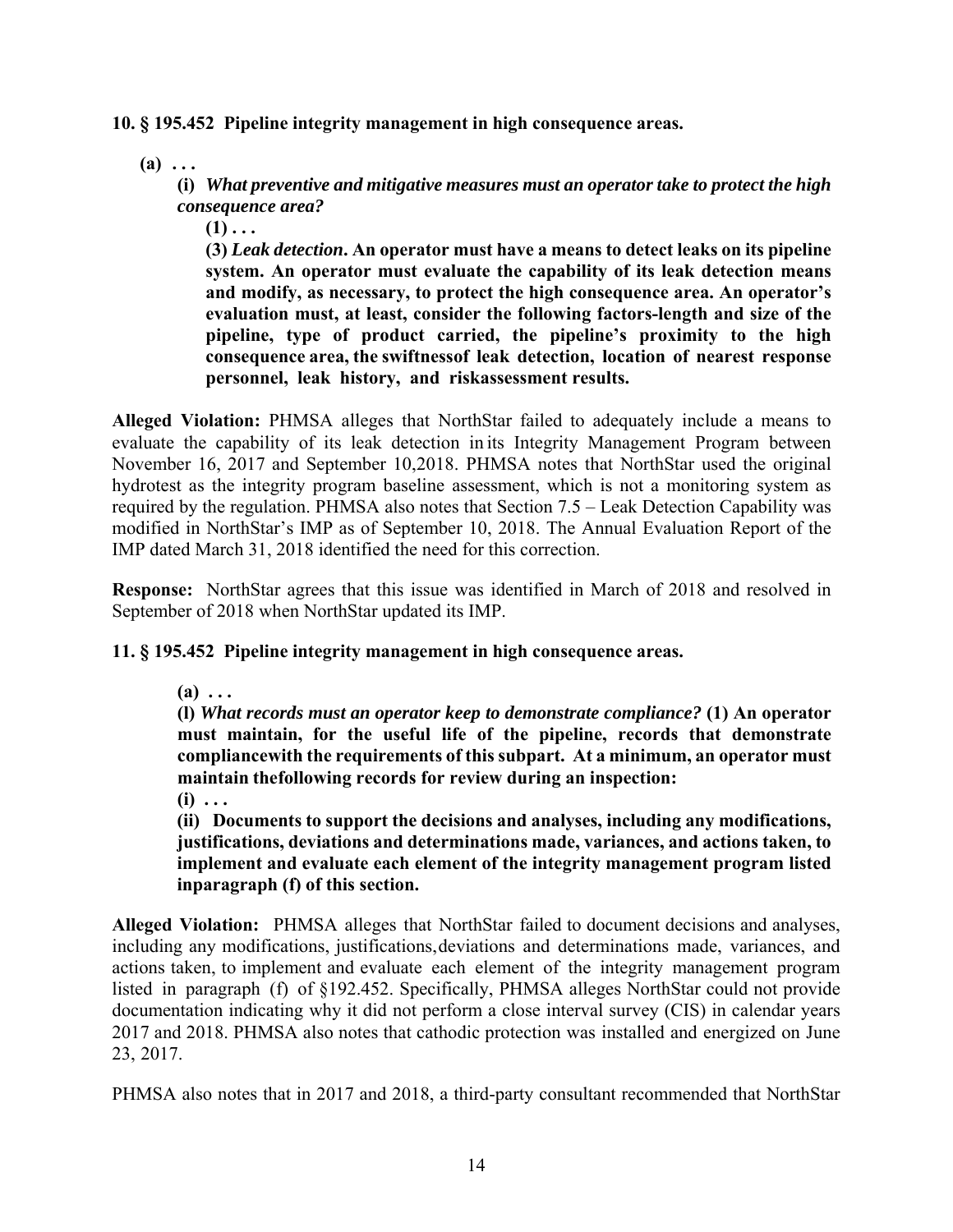**10. § 195.452 Pipeline integrity management in high consequence areas.** 

 $(a)$   $\dots$ 

**(i)** *What preventive and mitigative measures must an operator take to protect the high consequence area?* 

 $(1)$ ...

**(3)** *Leak detection***. An operator must have a means to detect leaks on its pipeline system. An operator must evaluate the capability of its leak detection means and modify, as necessary, to protect the high consequence area. An operator's evaluation must, at least, consider the following factors-length and size of the pipeline, type of product carried, the pipeline's proximity to the high consequence area, the swiftness of leak detection, location of nearest response**  personnel, leak history, and risk assessment results.

 evaluate the capability of its leak detection in its Integrity Management Program between November 16, 2017 and September 10,2018. PHMSA notes that NorthStar used the original **Alleged Violation:** PHMSA alleges that NorthStar failed to adequately include a means to hydrotest as the integrity program baseline assessment, which is not a monitoring system as required by the regulation. PHMSA also notes that Section 7.5 – Leak Detection Capability was modified in NorthStar's IMP as of September 10, 2018. The Annual Evaluation Report of the IMP dated March 31, 2018 identified the need for this correction.

 **Response:** NorthStar agrees that this issue was identified in March of 2018 and resolved in September of 2018 when NorthStar updated its IMP.

# **11. § 195.452 Pipeline integrity management in high consequence areas.**

**(a) . . .** 

 **must maintain, for the useful life of the pipeline, records that demonstrate maintain thefollowing records for review during an inspection: (l)** *What records must an operator keep to demonstrate compliance?* **(1) An operator compliance with the requirements of this subpart. At a minimum, an operator must** 

**(i) . . .** 

**(ii) Documents to support the decisions and analyses, including any modifications, justifications, deviations and determinations made, variances, and actions taken, to implement and evaluate each element of the integrity management program listed in paragraph (f) of this section.**

 **Alleged Violation:** PHMSA alleges that NorthStar failed to document decisions and analyses, including any modifications, justifications, deviations and determinations made, variances, and actions taken, to implement and evaluate each element of the integrity management program listed in paragraph (f) of §192.452. Specifically, PHMSA alleges NorthStar could not provide documentation indicating why it did not perform a close interval survey (CIS) in calendar years 2017 and 2018. PHMSA also notes that cathodic protection was installed and energized on June 23, 2017.

PHMSA also notes that in 2017 and 2018, a third-party consultant recommended that NorthStar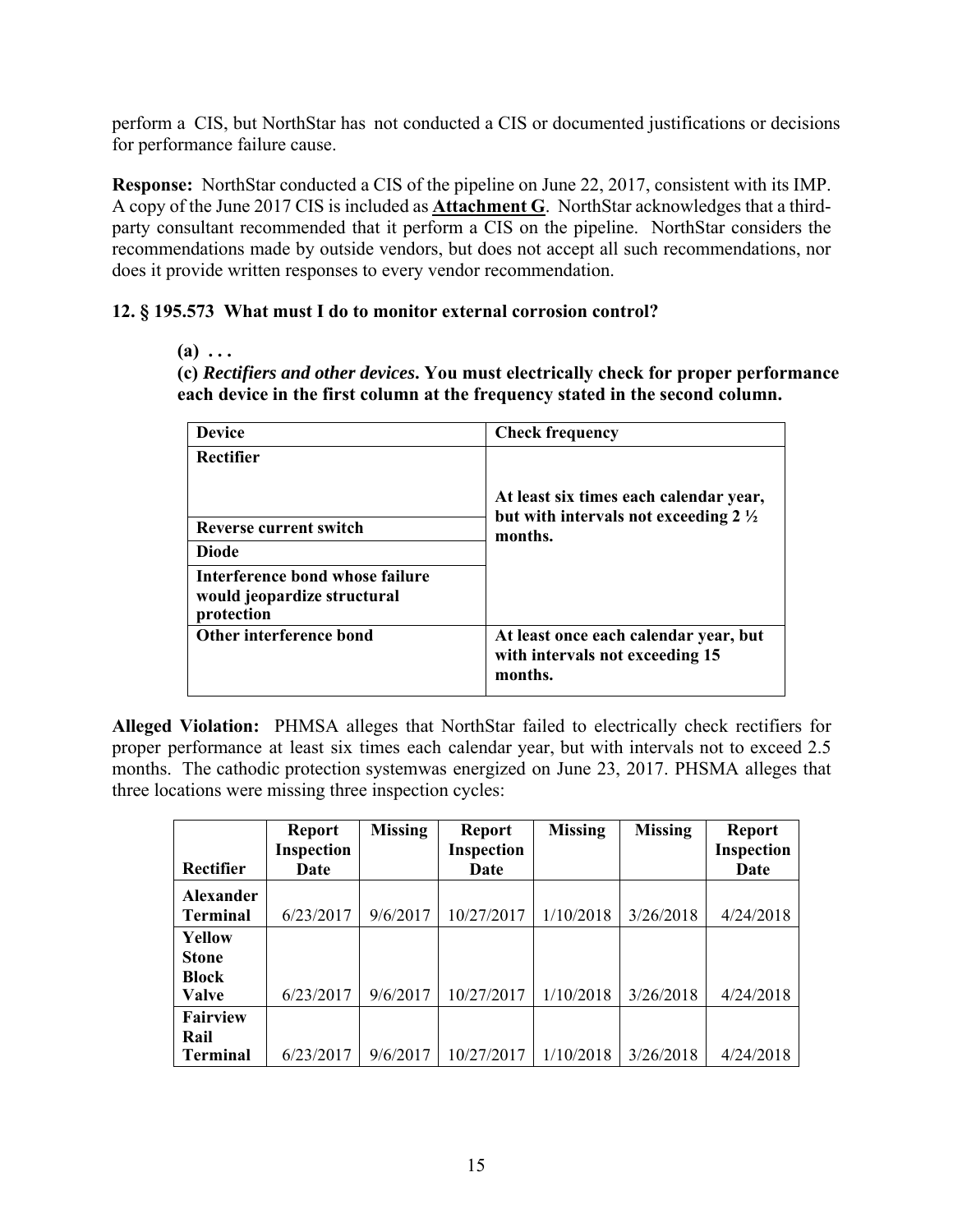perform a CIS, but NorthStar has not conducted a CIS or documented justifications or decisions for performance failure cause.

 **Response:** NorthStar conducted a CIS of the pipeline on June 22, 2017, consistent with its IMP. A copy of the June 2017 CIS is included as **Attachment G**. NorthStar acknowledges that a thirdparty consultant recommended that it perform a CIS on the pipeline. NorthStar considers the recommendations made by outside vendors, but does not accept all such recommendations, nor does it provide written responses to every vendor recommendation.

# **12. § 195.573 What must I do to monitor external corrosion control?**

#### $(a) \ldots$

**(c)** *Rectifiers and other devices***. You must electrically check for proper performance each device in the first column at the frequency stated in the second column.** 

| <b>Device</b>                                                                | <b>Check frequency</b>                                                                               |
|------------------------------------------------------------------------------|------------------------------------------------------------------------------------------------------|
| Rectifier                                                                    |                                                                                                      |
| <b>Reverse current switch</b><br><b>Diode</b>                                | At least six times each calendar year,<br>but with intervals not exceeding $2\frac{1}{2}$<br>months. |
| Interference bond whose failure<br>would jeopardize structural<br>protection |                                                                                                      |
| Other interference bond                                                      | At least once each calendar year, but<br>with intervals not exceeding 15<br>months.                  |

 **Alleged Violation:** PHMSA alleges that NorthStar failed to electrically check rectifiers for proper performance at least six times each calendar year, but with intervals not to exceed 2.5 months. The cathodic protection systemwas energized on June 23, 2017. PHSMA alleges that three locations were missing three inspection cycles:

|                  | <b>Report</b> | <b>Missing</b> | <b>Report</b> | <b>Missing</b> | <b>Missing</b> | <b>Report</b>     |
|------------------|---------------|----------------|---------------|----------------|----------------|-------------------|
|                  | Inspection    |                | Inspection    |                |                | <b>Inspection</b> |
| Rectifier        | Date          |                | Date          |                |                | Date              |
| <b>Alexander</b> |               |                |               |                |                |                   |
| <b>Terminal</b>  | 6/23/2017     | 9/6/2017       | 10/27/2017    | 1/10/2018      | 3/26/2018      | 4/24/2018         |
| <b>Yellow</b>    |               |                |               |                |                |                   |
| <b>Stone</b>     |               |                |               |                |                |                   |
| <b>Block</b>     |               |                |               |                |                |                   |
| <b>Valve</b>     | 6/23/2017     | 9/6/2017       | 10/27/2017    | 1/10/2018      | 3/26/2018      | 4/24/2018         |
| <b>Fairview</b>  |               |                |               |                |                |                   |
| Rail             |               |                |               |                |                |                   |
| <b>Terminal</b>  | 6/23/2017     | 9/6/2017       | 10/27/2017    | 1/10/2018      | 3/26/2018      | 4/24/2018         |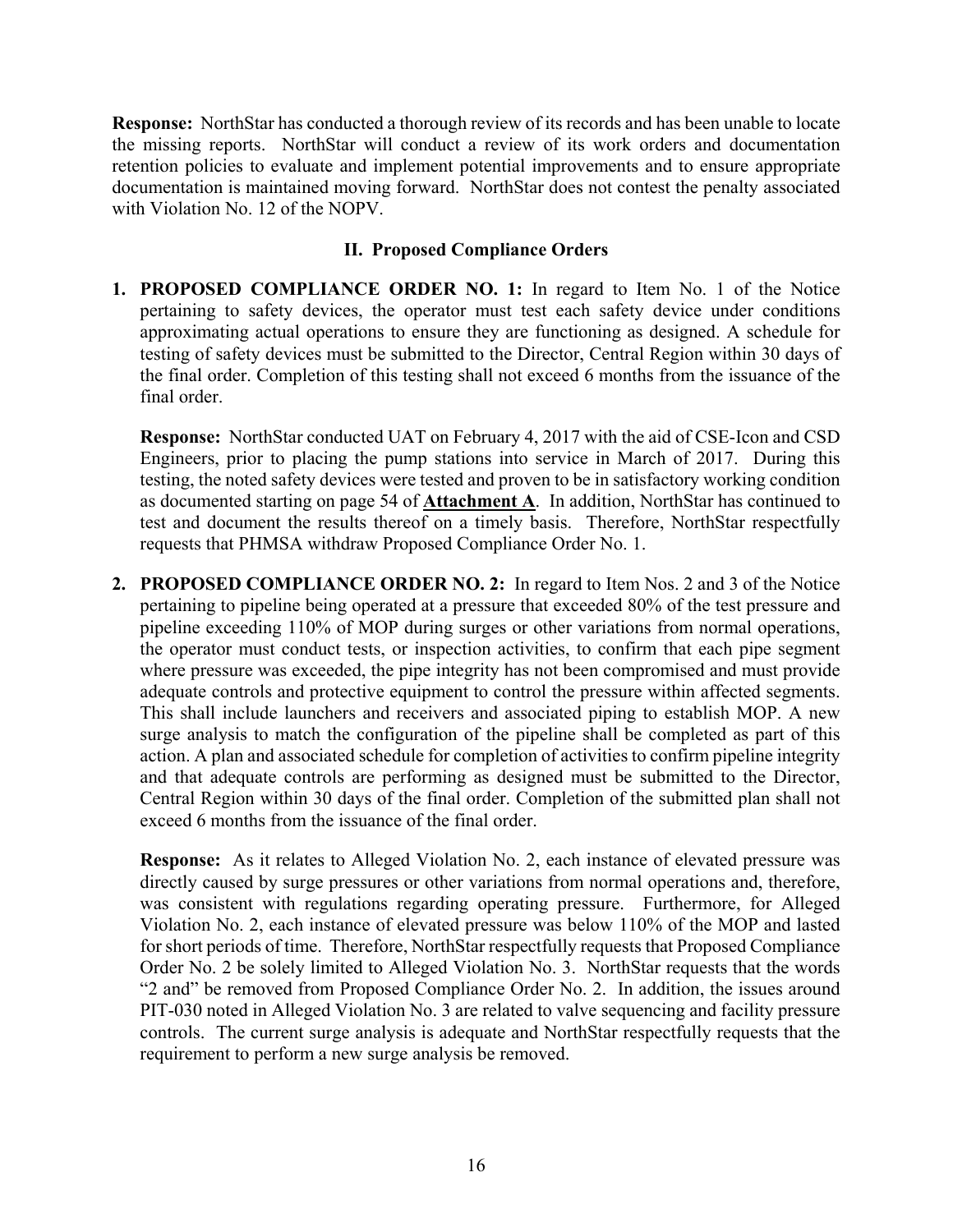**Response:** NorthStar has conducted a thorough review of its records and has been unable to locate the missing reports. NorthStar will conduct a review of its work orders and documentation retention policies to evaluate and implement potential improvements and to ensure appropriate documentation is maintained moving forward. NorthStar does not contest the penalty associated with Violation No. 12 of the NOPV.

## **II. Proposed Compliance Orders**

**1. PROPOSED COMPLIANCE ORDER NO. 1:** In regard to Item No. 1 of the Notice pertaining to safety devices, the operator must test each safety device under conditions approximating actual operations to ensure they are functioning as designed. A schedule for testing of safety devices must be submitted to the Director, Central Region within 30 days of the final order. Completion of this testing shall not exceed 6 months from the issuance of the final order.

 **Response:** NorthStar conducted UAT on February 4, 2017 with the aid of CSE-Icon and CSD Engineers, prior to placing the pump stations into service in March of 2017. During this testing, the noted safety devices were tested and proven to be in satisfactory working condition as documented starting on page 54 of **Attachment A**. In addition, NorthStar has continued to test and document the results thereof on a timely basis. Therefore, NorthStar respectfully requests that PHMSA withdraw Proposed Compliance Order No. 1.

 pertaining to pipeline being operated at a pressure that exceeded 80% of the test pressure and action. A plan and associated schedule for completion of activities to confirm pipeline integrity **2. PROPOSED COMPLIANCE ORDER NO. 2:** In regard to Item Nos. 2 and 3 of the Notice pipeline exceeding 110% of MOP during surges or other variations from normal operations, the operator must conduct tests, or inspection activities, to confirm that each pipe segment where pressure was exceeded, the pipe integrity has not been compromised and must provide adequate controls and protective equipment to control the pressure within affected segments. This shall include launchers and receivers and associated piping to establish MOP. A new surge analysis to match the configuration of the pipeline shall be completed as part of this and that adequate controls are performing as designed must be submitted to the Director, Central Region within 30 days of the final order. Completion of the submitted plan shall not exceed 6 months from the issuance of the final order.

 **Response:** As it relates to Alleged Violation No. 2, each instance of elevated pressure was directly caused by surge pressures or other variations from normal operations and, therefore, was consistent with regulations regarding operating pressure. Furthermore, for Alleged Violation No. 2, each instance of elevated pressure was below 110% of the MOP and lasted for short periods of time. Therefore, NorthStar respectfully requests that Proposed Compliance Order No. 2 be solely limited to Alleged Violation No. 3. NorthStar requests that the words "2 and" be removed from Proposed Compliance Order No. 2. In addition, the issues around PIT-030 noted in Alleged Violation No. 3 are related to valve sequencing and facility pressure controls. The current surge analysis is adequate and NorthStar respectfully requests that the requirement to perform a new surge analysis be removed.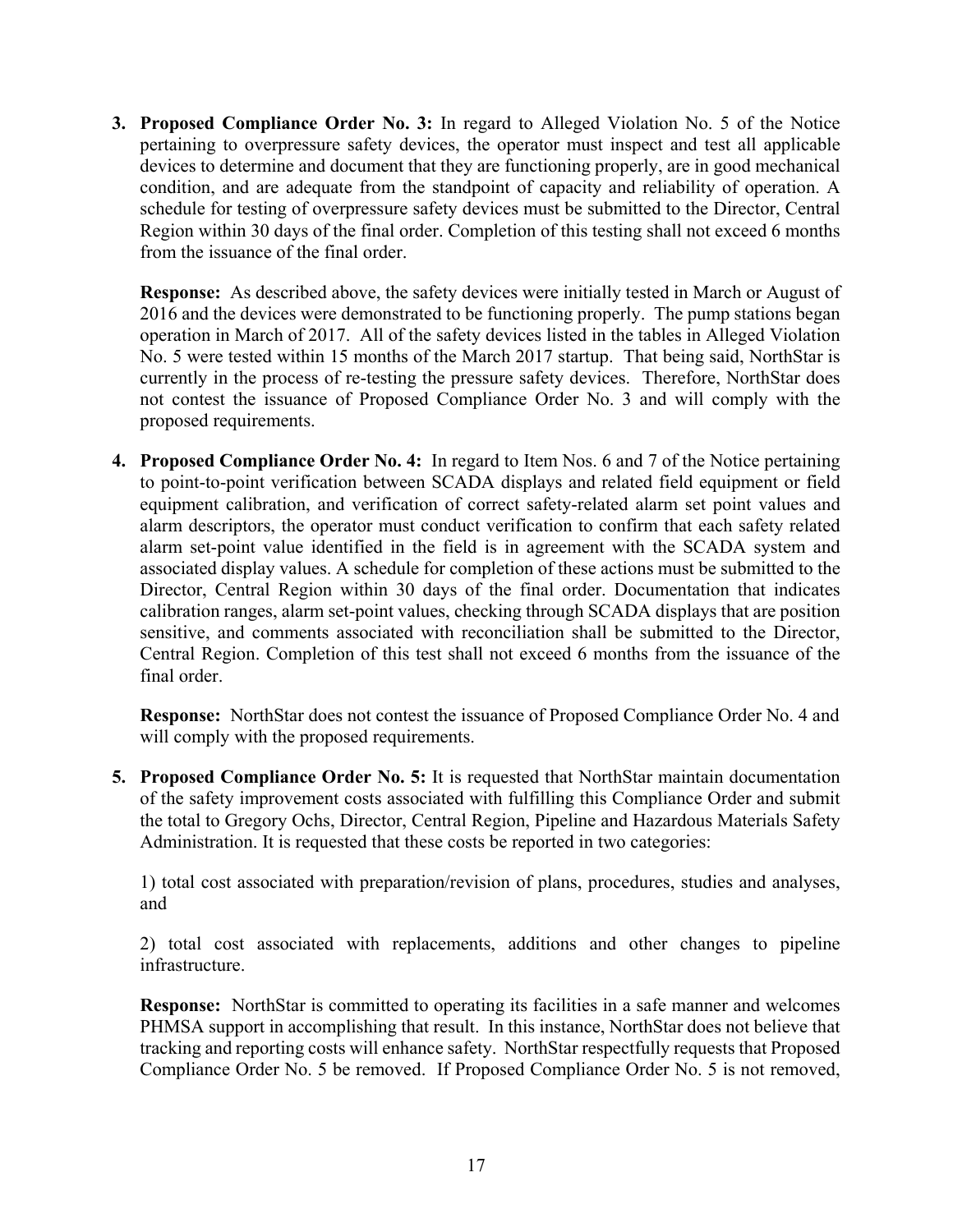pertaining to overpressure safety devices, the operator must inspect and test all applicable **3. Proposed Compliance Order No. 3:** In regard to Alleged Violation No. 5 of the Notice devices to determine and document that they are functioning properly, are in good mechanical condition, and are adequate from the standpoint of capacity and reliability of operation. A schedule for testing of overpressure safety devices must be submitted to the Director, Central Region within 30 days of the final order. Completion of this testing shall not exceed 6 months from the issuance of the final order.

 **Response:** As described above, the safety devices were initially tested in March or August of 2016 and the devices were demonstrated to be functioning properly. The pump stations began operation in March of 2017. All of the safety devices listed in the tables in Alleged Violation No. 5 were tested within 15 months of the March 2017 startup. That being said, NorthStar is currently in the process of re-testing the pressure safety devices. Therefore, NorthStar does not contest the issuance of Proposed Compliance Order No. 3 and will comply with the proposed requirements.

 alarm descriptors, the operator must conduct verification to confirm that each safety related alarm set-point value identified in the field is in agreement with the SCADA system and associated display values. A schedule for completion of these actions must be submitted to the calibration ranges, alarm set-point values, checking through SCADA displays that are position **4. Proposed Compliance Order No. 4:** In regard to Item Nos. 6 and 7 of the Notice pertaining to point-to-point verification between SCADA displays and related field equipment or field equipment calibration, and verification of correct safety-related alarm set point values and Director, Central Region within 30 days of the final order. Documentation that indicates sensitive, and comments associated with reconciliation shall be submitted to the Director, Central Region. Completion of this test shall not exceed 6 months from the issuance of the final order.

**Response:** NorthStar does not contest the issuance of Proposed Compliance Order No. 4 and will comply with the proposed requirements.

**5. Proposed Compliance Order No. 5:** It is requested that NorthStar maintain documentation of the safety improvement costs associated with fulfilling this Compliance Order and submit the total to Gregory Ochs, Director, Central Region, Pipeline and Hazardous Materials Safety Administration. It is requested that these costs be reported in two categories:

1) total cost associated with preparation/revision of plans, procedures, studies and analyses, and

2) total cost associated with replacements, additions and other changes to pipeline infrastructure.

 **Response:** NorthStar is committed to operating its facilities in a safe manner and welcomes PHMSA support in accomplishing that result. In this instance, NorthStar does not believe that tracking and reporting costs will enhance safety. NorthStar respectfully requests that Proposed Compliance Order No. 5 be removed. If Proposed Compliance Order No. 5 is not removed,